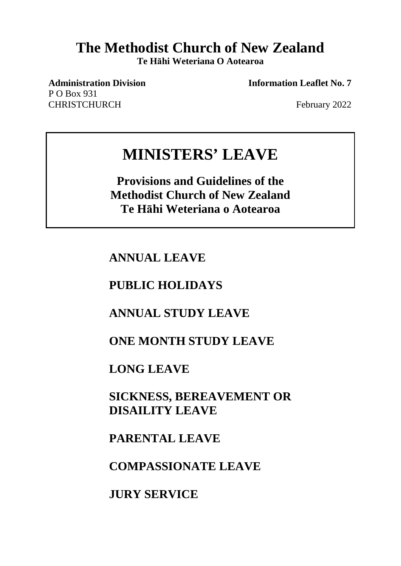# **The Methodist Church of New Zealand**

**Te Hāhi Weteriana O Aotearoa**

P O Box 931 CHRISTCHURCH February 2022

**Administration Division Information Leaflet No. 7**

# **MINISTERS' LEAVE**

**Provisions and Guidelines of the Methodist Church of New Zealand Te Hāhi Weteriana o Aotearoa**

**ANNUAL LEAVE**

## **PUBLIC HOLIDAYS**

## **ANNUAL STUDY LEAVE**

## **ONE MONTH STUDY LEAVE**

**LONG LEAVE**

**SICKNESS, BEREAVEMENT OR DISAILITY LEAVE**

**PARENTAL LEAVE**

**COMPASSIONATE LEAVE**

**JURY SERVICE**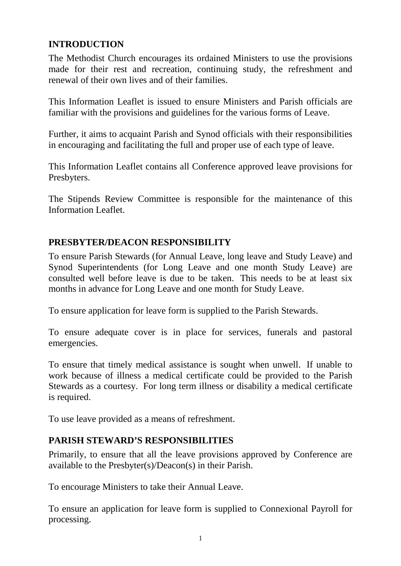## **INTRODUCTION**

The Methodist Church encourages its ordained Ministers to use the provisions made for their rest and recreation, continuing study, the refreshment and renewal of their own lives and of their families.

This Information Leaflet is issued to ensure Ministers and Parish officials are familiar with the provisions and guidelines for the various forms of Leave.

Further, it aims to acquaint Parish and Synod officials with their responsibilities in encouraging and facilitating the full and proper use of each type of leave.

This Information Leaflet contains all Conference approved leave provisions for Presbyters.

The Stipends Review Committee is responsible for the maintenance of this Information Leaflet.

## **PRESBYTER/DEACON RESPONSIBILITY**

To ensure Parish Stewards (for Annual Leave, long leave and Study Leave) and Synod Superintendents (for Long Leave and one month Study Leave) are consulted well before leave is due to be taken. This needs to be at least six months in advance for Long Leave and one month for Study Leave.

To ensure application for leave form is supplied to the Parish Stewards.

To ensure adequate cover is in place for services, funerals and pastoral emergencies.

To ensure that timely medical assistance is sought when unwell. If unable to work because of illness a medical certificate could be provided to the Parish Stewards as a courtesy. For long term illness or disability a medical certificate is required.

To use leave provided as a means of refreshment.

## **PARISH STEWARD'S RESPONSIBILITIES**

Primarily, to ensure that all the leave provisions approved by Conference are available to the Presbyter(s)/Deacon(s) in their Parish.

To encourage Ministers to take their Annual Leave.

To ensure an application for leave form is supplied to Connexional Payroll for processing.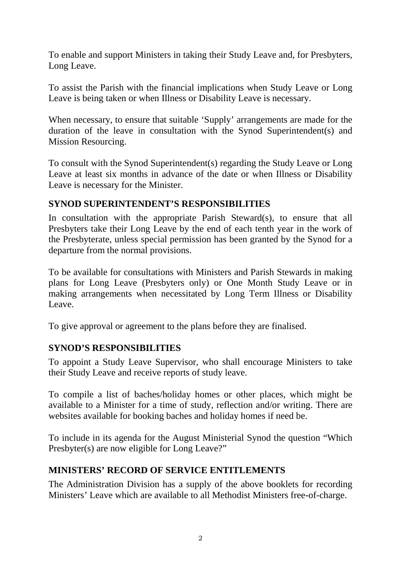To enable and support Ministers in taking their Study Leave and, for Presbyters, Long Leave.

To assist the Parish with the financial implications when Study Leave or Long Leave is being taken or when Illness or Disability Leave is necessary.

When necessary, to ensure that suitable 'Supply' arrangements are made for the duration of the leave in consultation with the Synod Superintendent(s) and Mission Resourcing.

To consult with the Synod Superintendent(s) regarding the Study Leave or Long Leave at least six months in advance of the date or when Illness or Disability Leave is necessary for the Minister.

## **SYNOD SUPERINTENDENT'S RESPONSIBILITIES**

In consultation with the appropriate Parish Steward(s), to ensure that all Presbyters take their Long Leave by the end of each tenth year in the work of the Presbyterate, unless special permission has been granted by the Synod for a departure from the normal provisions.

To be available for consultations with Ministers and Parish Stewards in making plans for Long Leave (Presbyters only) or One Month Study Leave or in making arrangements when necessitated by Long Term Illness or Disability Leave.

To give approval or agreement to the plans before they are finalised.

## **SYNOD'S RESPONSIBILITIES**

To appoint a Study Leave Supervisor, who shall encourage Ministers to take their Study Leave and receive reports of study leave.

To compile a list of baches/holiday homes or other places, which might be available to a Minister for a time of study, reflection and/or writing. There are websites available for booking baches and holiday homes if need be.

To include in its agenda for the August Ministerial Synod the question "Which Presbyter(s) are now eligible for Long Leave?"

## **MINISTERS' RECORD OF SERVICE ENTITLEMENTS**

The Administration Division has a supply of the above booklets for recording Ministers' Leave which are available to all Methodist Ministers free-of-charge.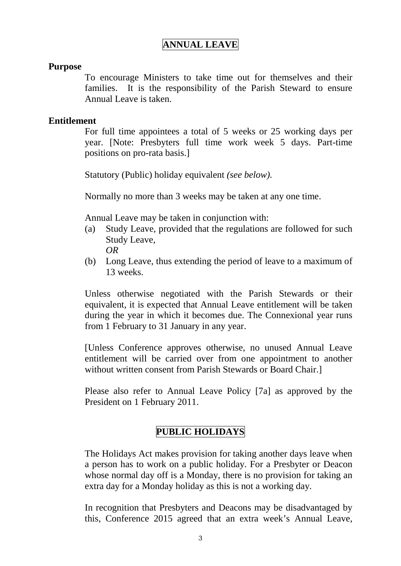## **ANNUAL LEAVE**

#### **Purpose**

To encourage Ministers to take time out for themselves and their families. It is the responsibility of the Parish Steward to ensure Annual Leave is taken.

#### **Entitlement**

For full time appointees a total of 5 weeks or 25 working days per year. [Note: Presbyters full time work week 5 days. Part-time positions on pro-rata basis.]

Statutory (Public) holiday equivalent *(see below).*

Normally no more than 3 weeks may be taken at any one time.

Annual Leave may be taken in conjunction with:

- (a) Study Leave, provided that the regulations are followed for such Study Leave, *OR*
- (b) Long Leave, thus extending the period of leave to a maximum of 13 weeks.

Unless otherwise negotiated with the Parish Stewards or their equivalent, it is expected that Annual Leave entitlement will be taken during the year in which it becomes due. The Connexional year runs from 1 February to 31 January in any year.

[Unless Conference approves otherwise, no unused Annual Leave entitlement will be carried over from one appointment to another without written consent from Parish Stewards or Board Chair.]

Please also refer to Annual Leave Policy [7a] as approved by the President on 1 February 2011.

### **PUBLIC HOLIDAYS**

The Holidays Act makes provision for taking another days leave when a person has to work on a public holiday. For a Presbyter or Deacon whose normal day off is a Monday, there is no provision for taking an extra day for a Monday holiday as this is not a working day.

In recognition that Presbyters and Deacons may be disadvantaged by this, Conference 2015 agreed that an extra week's Annual Leave,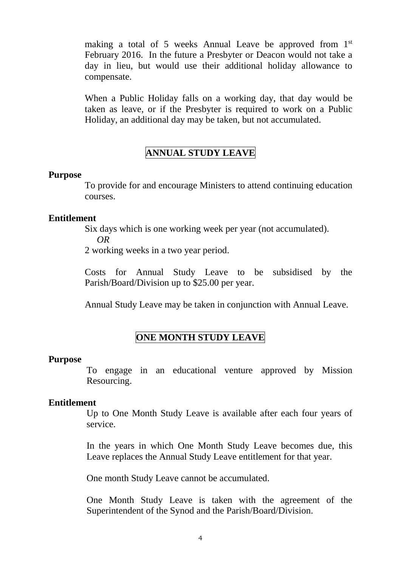making a total of 5 weeks Annual Leave be approved from 1<sup>st</sup> February 2016. In the future a Presbyter or Deacon would not take a day in lieu, but would use their additional holiday allowance to compensate.

When a Public Holiday falls on a working day, that day would be taken as leave, or if the Presbyter is required to work on a Public Holiday, an additional day may be taken, but not accumulated.

## **ANNUAL STUDY LEAVE**

#### **Purpose**

To provide for and encourage Ministers to attend continuing education courses.

#### **Entitlement**

Six days which is one working week per year (not accumulated).

*OR*

2 working weeks in a two year period.

Costs for Annual Study Leave to be subsidised by the Parish/Board/Division up to \$25.00 per year.

Annual Study Leave may be taken in conjunction with Annual Leave.

## **ONE MONTH STUDY LEAVE**

#### **Purpose**

To engage in an educational venture approved by Mission Resourcing.

#### **Entitlement**

Up to One Month Study Leave is available after each four years of service.

In the years in which One Month Study Leave becomes due, this Leave replaces the Annual Study Leave entitlement for that year.

One month Study Leave cannot be accumulated.

One Month Study Leave is taken with the agreement of the Superintendent of the Synod and the Parish/Board/Division.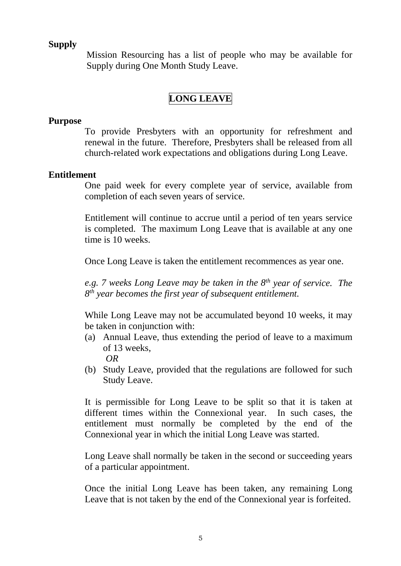### **Supply**

Mission Resourcing has a list of people who may be available for Supply during One Month Study Leave.

## **LONG LEAVE**

#### **Purpose**

To provide Presbyters with an opportunity for refreshment and renewal in the future. Therefore, Presbyters shall be released from all church-related work expectations and obligations during Long Leave.

#### **Entitlement**

One paid week for every complete year of service, available from completion of each seven years of service.

Entitlement will continue to accrue until a period of ten years service is completed. The maximum Long Leave that is available at any one time is 10 weeks.

Once Long Leave is taken the entitlement recommences as year one.

*e.g. 7 weeks Long Leave may be taken in the 8th year of service. The 8th year becomes the first year of subsequent entitlement.*

While Long Leave may not be accumulated beyond 10 weeks, it may be taken in conjunction with:

- (a) Annual Leave, thus extending the period of leave to a maximum of 13 weeks, *OR*
- (b) Study Leave, provided that the regulations are followed for such Study Leave.

It is permissible for Long Leave to be split so that it is taken at different times within the Connexional year. In such cases, the entitlement must normally be completed by the end of the Connexional year in which the initial Long Leave was started.

Long Leave shall normally be taken in the second or succeeding years of a particular appointment.

Once the initial Long Leave has been taken, any remaining Long Leave that is not taken by the end of the Connexional year is forfeited.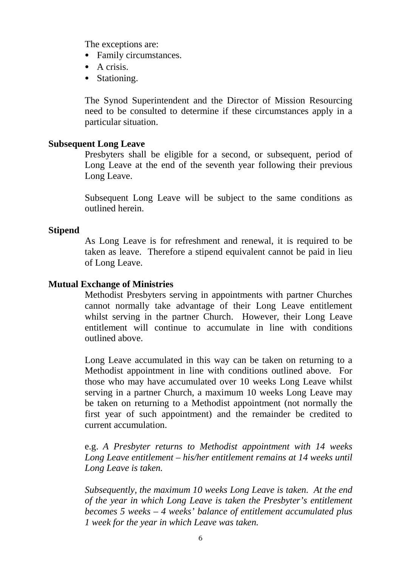The exceptions are:

- Family circumstances.
- A crisis.
- Stationing.

The Synod Superintendent and the Director of Mission Resourcing need to be consulted to determine if these circumstances apply in a particular situation.

#### **Subsequent Long Leave**

Presbyters shall be eligible for a second, or subsequent, period of Long Leave at the end of the seventh year following their previous Long Leave.

Subsequent Long Leave will be subject to the same conditions as outlined herein.

#### **Stipend**

As Long Leave is for refreshment and renewal, it is required to be taken as leave. Therefore a stipend equivalent cannot be paid in lieu of Long Leave.

#### **Mutual Exchange of Ministries**

Methodist Presbyters serving in appointments with partner Churches cannot normally take advantage of their Long Leave entitlement whilst serving in the partner Church. However, their Long Leave entitlement will continue to accumulate in line with conditions outlined above.

Long Leave accumulated in this way can be taken on returning to a Methodist appointment in line with conditions outlined above. For those who may have accumulated over 10 weeks Long Leave whilst serving in a partner Church, a maximum 10 weeks Long Leave may be taken on returning to a Methodist appointment (not normally the first year of such appointment) and the remainder be credited to current accumulation.

e.g. *A Presbyter returns to Methodist appointment with 14 weeks Long Leave entitlement – his/her entitlement remains at 14 weeks until Long Leave is taken.*

*Subsequently, the maximum 10 weeks Long Leave is taken. At the end of the year in which Long Leave is taken the Presbyter's entitlement becomes 5 weeks – 4 weeks' balance of entitlement accumulated plus 1 week for the year in which Leave was taken.*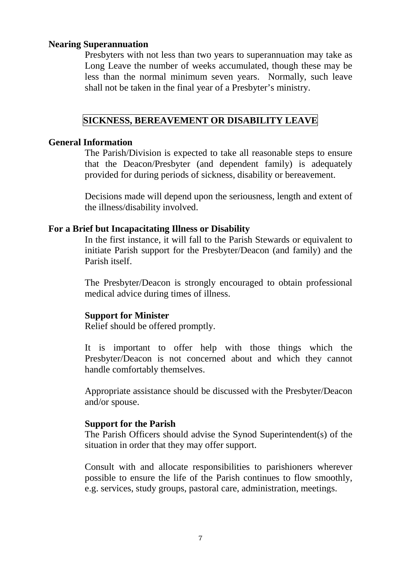#### **Nearing Superannuation**

Presbyters with not less than two years to superannuation may take as Long Leave the number of weeks accumulated, though these may be less than the normal minimum seven years. Normally, such leave shall not be taken in the final year of a Presbyter's ministry.

#### **SICKNESS, BEREAVEMENT OR DISABILITY LEAVE**

#### **General Information**

The Parish/Division is expected to take all reasonable steps to ensure that the Deacon/Presbyter (and dependent family) is adequately provided for during periods of sickness, disability or bereavement.

Decisions made will depend upon the seriousness, length and extent of the illness/disability involved.

#### **For a Brief but Incapacitating Illness or Disability**

In the first instance, it will fall to the Parish Stewards or equivalent to initiate Parish support for the Presbyter/Deacon (and family) and the Parish itself.

The Presbyter/Deacon is strongly encouraged to obtain professional medical advice during times of illness.

#### **Support for Minister**

Relief should be offered promptly.

It is important to offer help with those things which the Presbyter/Deacon is not concerned about and which they cannot handle comfortably themselves.

Appropriate assistance should be discussed with the Presbyter/Deacon and/or spouse.

#### **Support for the Parish**

The Parish Officers should advise the Synod Superintendent(s) of the situation in order that they may offer support.

Consult with and allocate responsibilities to parishioners wherever possible to ensure the life of the Parish continues to flow smoothly, e.g. services, study groups, pastoral care, administration, meetings.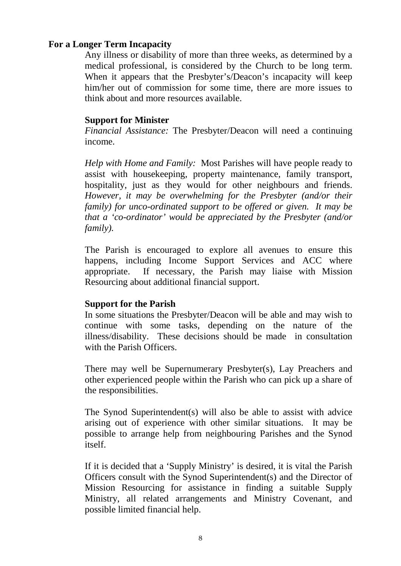#### **For a Longer Term Incapacity**

Any illness or disability of more than three weeks, as determined by a medical professional, is considered by the Church to be long term. When it appears that the Presbyter's/Deacon's incapacity will keep him/her out of commission for some time, there are more issues to think about and more resources available.

#### **Support for Minister**

*Financial Assistance:* The Presbyter/Deacon will need a continuing income.

*Help with Home and Family:* Most Parishes will have people ready to assist with housekeeping, property maintenance, family transport, hospitality, just as they would for other neighbours and friends. *However, it may be overwhelming for the Presbyter (and/or their family) for unco-ordinated support to be offered or given. It may be that a 'co-ordinator' would be appreciated by the Presbyter (and/or family).*

The Parish is encouraged to explore all avenues to ensure this happens, including Income Support Services and ACC where appropriate. If necessary, the Parish may liaise with Mission Resourcing about additional financial support.

#### **Support for the Parish**

In some situations the Presbyter/Deacon will be able and may wish to continue with some tasks, depending on the nature of the illness/disability. These decisions should be made in consultation with the Parish Officers.

There may well be Supernumerary Presbyter(s), Lay Preachers and other experienced people within the Parish who can pick up a share of the responsibilities.

The Synod Superintendent(s) will also be able to assist with advice arising out of experience with other similar situations. It may be possible to arrange help from neighbouring Parishes and the Synod itself.

If it is decided that a 'Supply Ministry' is desired, it is vital the Parish Officers consult with the Synod Superintendent(s) and the Director of Mission Resourcing for assistance in finding a suitable Supply Ministry, all related arrangements and Ministry Covenant, and possible limited financial help.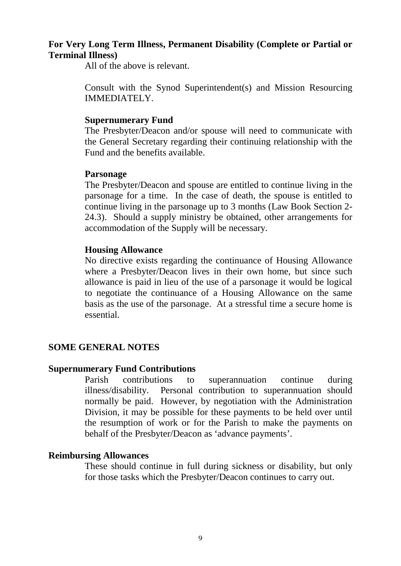#### **For Very Long Term Illness, Permanent Disability (Complete or Partial or Terminal Illness)**

All of the above is relevant.

Consult with the Synod Superintendent(s) and Mission Resourcing IMMEDIATELY.

#### **Supernumerary Fund**

The Presbyter/Deacon and/or spouse will need to communicate with the General Secretary regarding their continuing relationship with the Fund and the benefits available.

#### **Parsonage**

The Presbyter/Deacon and spouse are entitled to continue living in the parsonage for a time. In the case of death, the spouse is entitled to continue living in the parsonage up to 3 months (Law Book Section 2- 24.3). Should a supply ministry be obtained, other arrangements for accommodation of the Supply will be necessary.

#### **Housing Allowance**

No directive exists regarding the continuance of Housing Allowance where a Presbyter/Deacon lives in their own home, but since such allowance is paid in lieu of the use of a parsonage it would be logical to negotiate the continuance of a Housing Allowance on the same basis as the use of the parsonage. At a stressful time a secure home is essential.

#### **SOME GENERAL NOTES**

#### **Supernumerary Fund Contributions**

Parish contributions to superannuation continue during illness/disability. Personal contribution to superannuation should normally be paid. However, by negotiation with the Administration Division, it may be possible for these payments to be held over until the resumption of work or for the Parish to make the payments on behalf of the Presbyter/Deacon as 'advance payments'.

#### **Reimbursing Allowances**

These should continue in full during sickness or disability, but only for those tasks which the Presbyter/Deacon continues to carry out.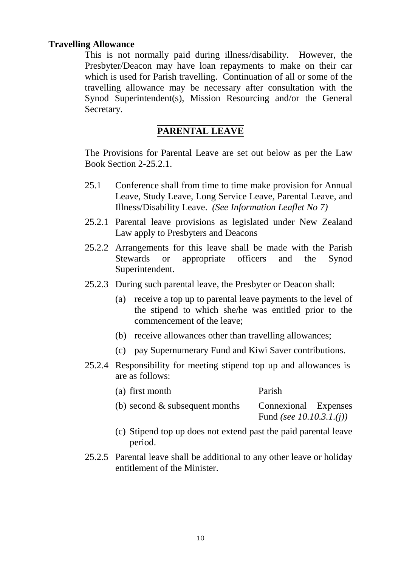#### **Travelling Allowance**

This is not normally paid during illness/disability. However, the Presbyter/Deacon may have loan repayments to make on their car which is used for Parish travelling. Continuation of all or some of the travelling allowance may be necessary after consultation with the Synod Superintendent(s), Mission Resourcing and/or the General Secretary.

### **PARENTAL LEAVE**

The Provisions for Parental Leave are set out below as per the Law Book Section 2-25.2.1.

- 25.1 Conference shall from time to time make provision for Annual Leave, Study Leave, Long Service Leave, Parental Leave, and Illness/Disability Leave. *(See Information Leaflet No 7)*
- 25.2.1 Parental leave provisions as legislated under New Zealand Law apply to Presbyters and Deacons
- 25.2.2 Arrangements for this leave shall be made with the Parish Stewards or appropriate officers and the Synod Superintendent.
- 25.2.3 During such parental leave, the Presbyter or Deacon shall:
	- (a) receive a top up to parental leave payments to the level of the stipend to which she/he was entitled prior to the commencement of the leave;
	- (b) receive allowances other than travelling allowances;
	- (c) pay Supernumerary Fund and Kiwi Saver contributions.
- 25.2.4 Responsibility for meeting stipend top up and allowances is are as follows:

| (a) first month                   | Parish                                                    |
|-----------------------------------|-----------------------------------------------------------|
| (b) second $\&$ subsequent months | Connexional Expenses<br>Fund (see 10.10.3.1.( <i>j</i> )) |

- (c) Stipend top up does not extend past the paid parental leave period.
- 25.2.5 Parental leave shall be additional to any other leave or holiday entitlement of the Minister.